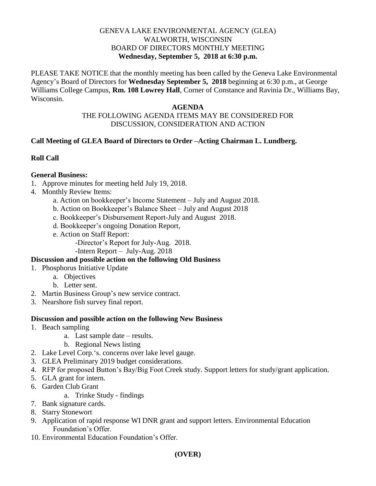#### GENEVA LAKE ENVIRONMENTAL AGENCY (GLEA) WALWORTH, WISCONSIN BOARD OF DIRECTORS MONTHLY MEETING **Wednesday, September 5, 2018 at 6:30 p.m.**

PLEASE TAKE NOTICE that the monthly meeting has been called by the Geneva Lake Environmental Agency's Board of Directors for **Wednesday September 5, 2018** beginning at 6:30 p.m., at George Williams College Campus, **Rm. 108 Lowrey Hall**, Corner of Constance and Ravinia Dr., Williams Bay, Wisconsin.

#### **AGENDA**

### THE FOLLOWING AGENDA ITEMS MAY BE CONSIDERED FOR DISCUSSION, CONSIDERATION AND ACTION

### **Call Meeting of GLEA Board of Directors to Order –Acting Chairman L. Lundberg.**

### **Roll Call**

### **General Business:**

- 1. Approve minutes for meeting held July 19, 2018.
- 4. Monthly Review Items:
	- a. Action on bookkeeper's Income Statement July and August 2018.
	- b. Action on Bookkeeper's Balance Sheet July and August 2018
	- c. Bookkeeper's Disbursement Report-July and August 2018.
	- d. Bookkeeper's ongoing Donation Report,
	- e. Action on Staff Report:
		- -Director's Report for July-Aug. 2018.
		- -Intern Report July-Aug. 2018

# **Discussion and possible action on the following Old Business**

- 1. Phosphorus Initiative Update
	- a. Objectives
	- b. Letter sent.
- 2. Martin Business Group's new service contract.
- 3. Nearshore fish survey final report.

### **Discussion and possible action on the following New Business**

- 1. Beach sampling
	- a. Last sample date results.
	- b. Regional News listing
- 2. Lake Level Corp.'s. concerns over lake level gauge.
- 3. GLEA Preliminary 2019 budget considerations.
- 4. RFP for proposed Button's Bay/Big Foot Creek study. Support letters for study/grant application.
- 5. GLA grant for intern.
- 6. Garden Club Grant
	- a. Trinke Study findings
- 7. Bank signature cards.
- 8. Starry Stonewort
- 9. Application of rapid response WI DNR grant and support letters. Environmental Education Foundation's Offer.
- 10. Environmental Education Foundation's Offer.

# **(OVER)**